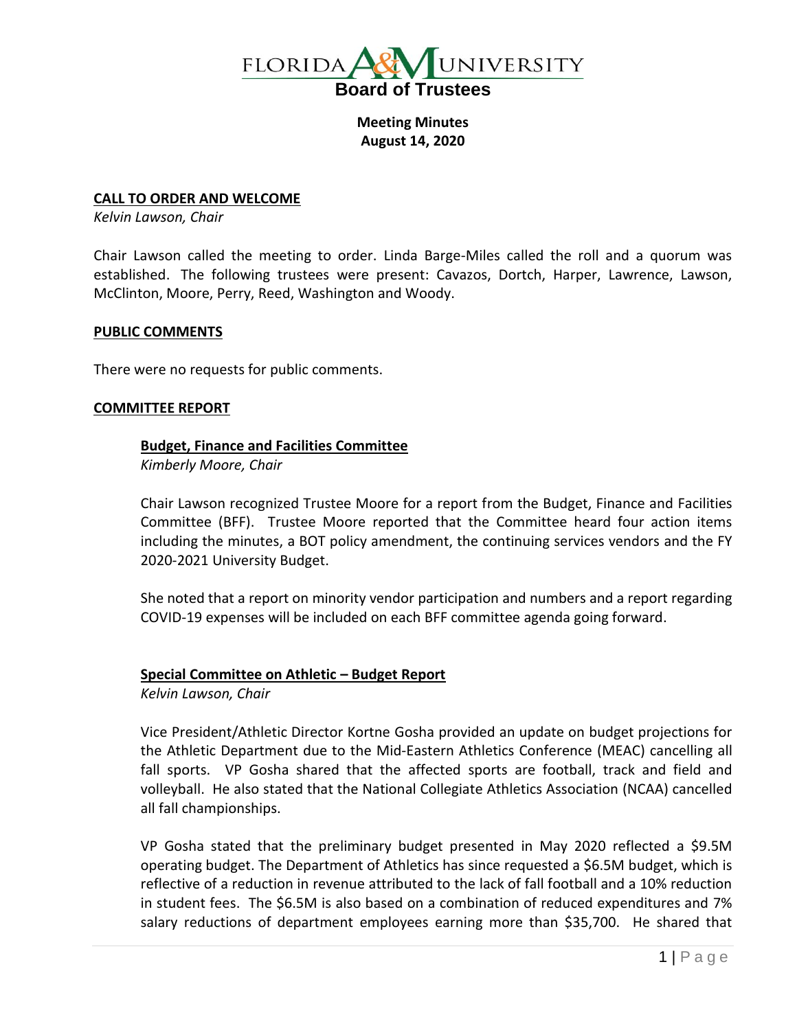

**Meeting Minutes August 14, 2020**

## **CALL TO ORDER AND WELCOME**

*Kelvin Lawson, Chair*

Chair Lawson called the meeting to order. Linda Barge-Miles called the roll and a quorum was established. The following trustees were present: Cavazos, Dortch, Harper, Lawrence, Lawson, McClinton, Moore, Perry, Reed, Washington and Woody.

# **PUBLIC COMMENTS**

There were no requests for public comments.

### **COMMITTEE REPORT**

# **Budget, Finance and Facilities Committee**

*Kimberly Moore, Chair*

Chair Lawson recognized Trustee Moore for a report from the Budget, Finance and Facilities Committee (BFF). Trustee Moore reported that the Committee heard four action items including the minutes, a BOT policy amendment, the continuing services vendors and the FY 2020-2021 University Budget.

She noted that a report on minority vendor participation and numbers and a report regarding COVID-19 expenses will be included on each BFF committee agenda going forward.

### **Special Committee on Athletic – Budget Report**

*Kelvin Lawson, Chair*

Vice President/Athletic Director Kortne Gosha provided an update on budget projections for the Athletic Department due to the Mid-Eastern Athletics Conference (MEAC) cancelling all fall sports. VP Gosha shared that the affected sports are football, track and field and volleyball. He also stated that the National Collegiate Athletics Association (NCAA) cancelled all fall championships.

VP Gosha stated that the preliminary budget presented in May 2020 reflected a \$9.5M operating budget. The Department of Athletics has since requested a \$6.5M budget, which is reflective of a reduction in revenue attributed to the lack of fall football and a 10% reduction in student fees. The \$6.5M is also based on a combination of reduced expenditures and 7% salary reductions of department employees earning more than \$35,700. He shared that